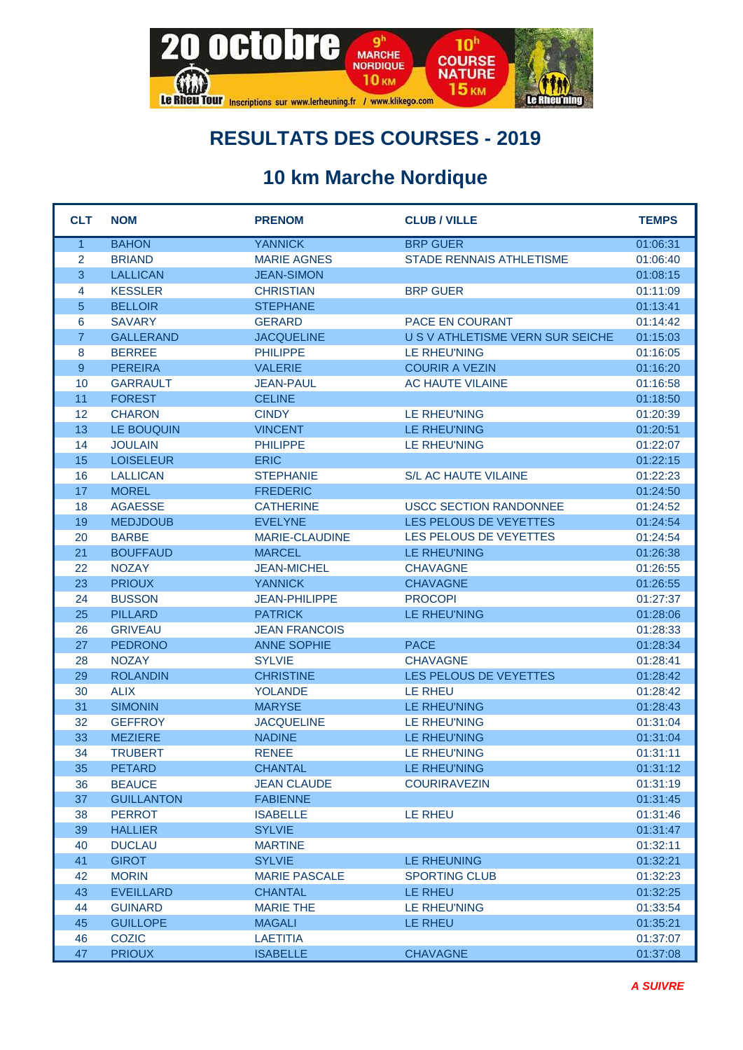

## **RESULTATS DES COURSES - 2019**

## **10 km Marche Nordique**

| <b>CLT</b>     | <b>NOM</b>        | <b>PRENOM</b>        | <b>CLUB / VILLE</b>              | <b>TEMPS</b> |
|----------------|-------------------|----------------------|----------------------------------|--------------|
| $\mathbf{1}$   | <b>BAHON</b>      | <b>YANNICK</b>       | <b>BRP GUER</b>                  | 01:06:31     |
| $\overline{2}$ | <b>BRIAND</b>     | <b>MARIE AGNES</b>   | STADE RENNAIS ATHLETISME         | 01:06:40     |
| 3              | <b>LALLICAN</b>   | <b>JEAN-SIMON</b>    |                                  | 01:08:15     |
| 4              | <b>KESSLER</b>    | <b>CHRISTIAN</b>     | <b>BRP GUER</b>                  | 01:11:09     |
| 5              | <b>BELLOIR</b>    | <b>STEPHANE</b>      |                                  | 01:13:41     |
| 6              | <b>SAVARY</b>     | <b>GERARD</b>        | <b>PACE EN COURANT</b>           | 01:14:42     |
| $\overline{7}$ | <b>GALLERAND</b>  | <b>JACQUELINE</b>    | U S V ATHLETISME VERN SUR SEICHE | 01:15:03     |
| 8              | <b>BERREE</b>     | <b>PHILIPPE</b>      | <b>LE RHEU'NING</b>              | 01:16:05     |
| 9              | <b>PEREIRA</b>    | <b>VALERIE</b>       | <b>COURIR A VEZIN</b>            | 01:16:20     |
| 10             | <b>GARRAULT</b>   | <b>JEAN-PAUL</b>     | AC HAUTE VILAINE                 | 01:16:58     |
| 11             | <b>FOREST</b>     | <b>CELINE</b>        |                                  | 01:18:50     |
| 12             | <b>CHARON</b>     | <b>CINDY</b>         | LE RHEU'NING                     | 01:20:39     |
| 13             | LE BOUQUIN        | <b>VINCENT</b>       | LE RHEU'NING                     | 01:20:51     |
| 14             | <b>JOULAIN</b>    | <b>PHILIPPE</b>      | <b>LE RHEU'NING</b>              | 01:22:07     |
| 15             | <b>LOISELEUR</b>  | <b>ERIC</b>          |                                  | 01:22:15     |
| 16             | <b>LALLICAN</b>   | <b>STEPHANIE</b>     | <b>S/L AC HAUTE VILAINE</b>      | 01:22:23     |
| 17             | <b>MOREL</b>      | <b>FREDERIC</b>      |                                  | 01:24:50     |
| 18             | <b>AGAESSE</b>    | <b>CATHERINE</b>     | <b>USCC SECTION RANDONNEE</b>    | 01:24:52     |
| 19             | <b>MEDJDOUB</b>   | <b>EVELYNE</b>       | LES PELOUS DE VEYETTES           | 01:24:54     |
| 20             | <b>BARBE</b>      | MARIE-CLAUDINE       | LES PELOUS DE VEYETTES           | 01:24:54     |
| 21             | <b>BOUFFAUD</b>   | <b>MARCEL</b>        | LE RHEU'NING                     | 01:26:38     |
| 22             | <b>NOZAY</b>      | <b>JEAN-MICHEL</b>   | <b>CHAVAGNE</b>                  | 01:26:55     |
| 23             | <b>PRIOUX</b>     | <b>YANNICK</b>       | <b>CHAVAGNE</b>                  | 01:26:55     |
| 24             | <b>BUSSON</b>     | <b>JEAN-PHILIPPE</b> | <b>PROCOPI</b>                   | 01:27:37     |
| 25             | <b>PILLARD</b>    | <b>PATRICK</b>       | LE RHEU'NING                     | 01:28:06     |
| 26             | <b>GRIVEAU</b>    | <b>JEAN FRANCOIS</b> |                                  | 01:28:33     |
| 27             | <b>PEDRONO</b>    | <b>ANNE SOPHIE</b>   | <b>PACE</b>                      | 01:28:34     |
| 28             | <b>NOZAY</b>      | <b>SYLVIE</b>        | <b>CHAVAGNE</b>                  | 01:28:41     |
| 29             | <b>ROLANDIN</b>   | <b>CHRISTINE</b>     | LES PELOUS DE VEYETTES           | 01:28:42     |
| 30             | <b>ALIX</b>       | <b>YOLANDE</b>       | <b>LE RHEU</b>                   | 01:28:42     |
| 31             | <b>SIMONIN</b>    | <b>MARYSE</b>        | LE RHEU'NING                     | 01:28:43     |
| 32             | <b>GEFFROY</b>    | <b>JACQUELINE</b>    | LE RHEU'NING                     | 01:31:04     |
| 33             | <b>MEZIERE</b>    | <b>NADINE</b>        | LE RHEU'NING                     | 01:31:04     |
| 34             | <b>TRUBERT</b>    | <b>RENEE</b>         | LE RHEU'NING                     | 01:31:11     |
| 35             | <b>PETARD</b>     | <b>CHANTAL</b>       | LE RHEU'NING                     | 01:31:12     |
| 36             | <b>BEAUCE</b>     | <b>JEAN CLAUDE</b>   | <b>COURIRAVEZIN</b>              | 01:31:19     |
| 37             | <b>GUILLANTON</b> | <b>FABIENNE</b>      |                                  | 01:31:45     |
| 38             | <b>PERROT</b>     | <b>ISABELLE</b>      | LE RHEU                          | 01:31:46     |
| 39             | <b>HALLIER</b>    | <b>SYLVIE</b>        |                                  | 01:31:47     |
| 40             | <b>DUCLAU</b>     | <b>MARTINE</b>       |                                  | 01:32:11     |
| 41             | <b>GIROT</b>      | <b>SYLVIE</b>        | LE RHEUNING                      | 01:32:21     |
| 42             | <b>MORIN</b>      | <b>MARIE PASCALE</b> | <b>SPORTING CLUB</b>             | 01:32:23     |
| 43             | <b>EVEILLARD</b>  | <b>CHANTAL</b>       | LE RHEU                          | 01:32:25     |
| 44             | <b>GUINARD</b>    | <b>MARIE THE</b>     | LE RHEU'NING                     | 01:33:54     |
| 45             | <b>GUILLOPE</b>   | <b>MAGALI</b>        | LE RHEU                          | 01:35:21     |
| 46             | <b>COZIC</b>      | <b>LAETITIA</b>      |                                  | 01:37:07     |
| 47             | <b>PRIOUX</b>     | <b>ISABELLE</b>      | <b>CHAVAGNE</b>                  | 01:37:08     |